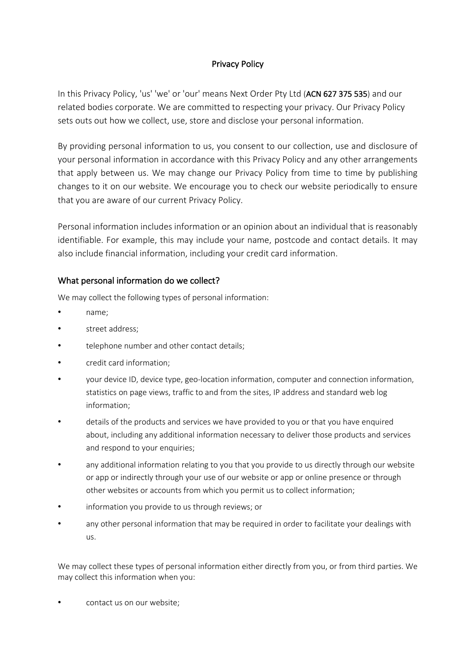# Privacy Policy

In this Privacy Policy, 'us' 'we' or 'our' means Next Order Pty Ltd (ACN 627 375 535) and our related bodies corporate. We are committed to respecting your privacy. Our Privacy Policy sets outs out how we collect, use, store and disclose your personal information.

By providing personal information to us, you consent to our collection, use and disclosure of your personal information in accordance with this Privacy Policy and any other arrangements that apply between us. We may change our Privacy Policy from time to time by publishing changes to it on our website. We encourage you to check our website periodically to ensure that you are aware of our current Privacy Policy.

Personal information includes information or an opinion about an individual that is reasonably identifiable. For example, this may include your name, postcode and contact details. It may also include financial information, including your credit card information.

## What personal information do we collect?

We may collect the following types of personal information:

- name;
- street address:
- telephone number and other contact details;
- credit card information;
- your device ID, device type, geo-location information, computer and connection information, statistics on page views, traffic to and from the sites, IP address and standard web log information;
- details of the products and services we have provided to you or that you have enquired about, including any additional information necessary to deliver those products and services and respond to your enquiries;
- any additional information relating to you that you provide to us directly through our website or app or indirectly through your use of our website or app or online presence or through other websites or accounts from which you permit us to collect information;
- information you provide to us through reviews; or
- any other personal information that may be required in order to facilitate your dealings with us.

We may collect these types of personal information either directly from you, or from third parties. We may collect this information when you:

• contact us on our website;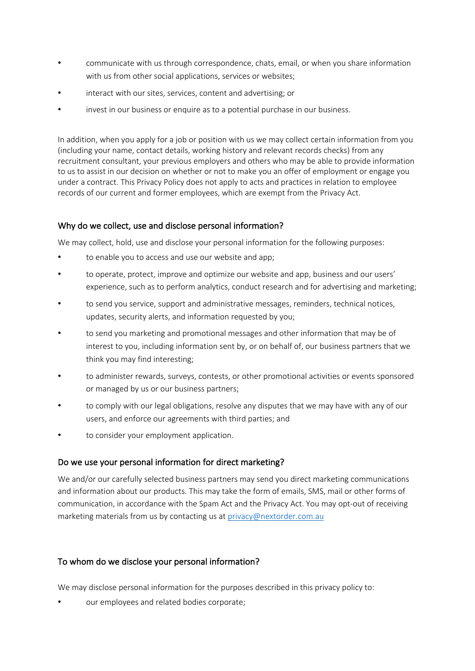- communicate with us through correspondence, chats, email, or when you share information with us from other social applications, services or websites;
- interact with our sites, services, content and advertising; or
- invest in our business or enquire as to a potential purchase in our business.

In addition, when you apply for a job or position with us we may collect certain information from you (including your name, contact details, working history and relevant records checks) from any recruitment consultant, your previous employers and others who may be able to provide information to us to assist in our decision on whether or not to make you an offer of employment or engage you under a contract. This Privacy Policy does not apply to acts and practices in relation to employee records of our current and former employees, which are exempt from the Privacy Act.

## Why do we collect, use and disclose personal information?

We may collect, hold, use and disclose your personal information for the following purposes:

- to enable you to access and use our website and app;
- to operate, protect, improve and optimize our website and app, business and our users' experience, such as to perform analytics, conduct research and for advertising and marketing;
- to send you service, support and administrative messages, reminders, technical notices, updates, security alerts, and information requested by you;
- to send you marketing and promotional messages and other information that may be of interest to you, including information sent by, or on behalf of, our business partners that we think you may find interesting;
- to administer rewards, surveys, contests, or other promotional activities or events sponsored or managed by us or our business partners;
- to comply with our legal obligations, resolve any disputes that we may have with any of our users, and enforce our agreements with third parties; and
- to consider your employment application.

## Do we use your personal information for direct marketing?

We and/or our carefully selected business partners may send you direct marketing communications and information about our products. This may take the form of emails, SMS, mail or other forms of communication, in accordance with the Spam Act and the Privacy Act. You may opt-out of receiving marketing materials from us by contacting us at privacy@nextorder.com.au

## To whom do we disclose your personal information?

We may disclose personal information for the purposes described in this privacy policy to:

• our employees and related bodies corporate;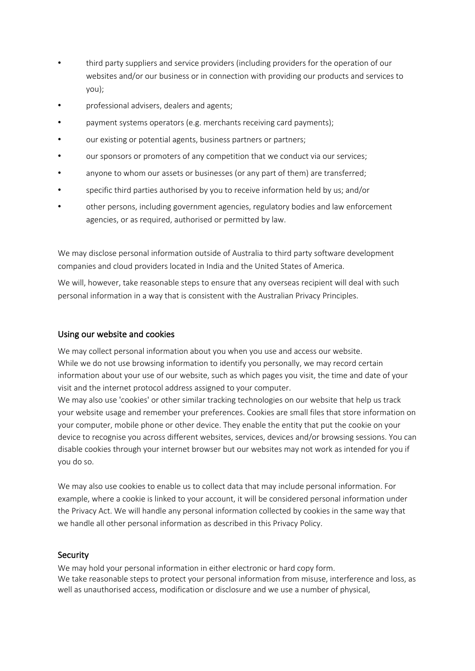- third party suppliers and service providers (including providers for the operation of our websites and/or our business or in connection with providing our products and services to you);
- professional advisers, dealers and agents;
- payment systems operators (e.g. merchants receiving card payments);
- our existing or potential agents, business partners or partners;
- our sponsors or promoters of any competition that we conduct via our services;
- anyone to whom our assets or businesses (or any part of them) are transferred;
- specific third parties authorised by you to receive information held by us; and/or
- other persons, including government agencies, regulatory bodies and law enforcement agencies, or as required, authorised or permitted by law.

We may disclose personal information outside of Australia to third party software development companies and cloud providers located in India and the United States of America.

We will, however, take reasonable steps to ensure that any overseas recipient will deal with such personal information in a way that is consistent with the Australian Privacy Principles.

### Using our website and cookies

We may collect personal information about you when you use and access our website. While we do not use browsing information to identify you personally, we may record certain information about your use of our website, such as which pages you visit, the time and date of your visit and the internet protocol address assigned to your computer.

We may also use 'cookies' or other similar tracking technologies on our website that help us track your website usage and remember your preferences. Cookies are small files that store information on your computer, mobile phone or other device. They enable the entity that put the cookie on your device to recognise you across different websites, services, devices and/or browsing sessions. You can disable cookies through your internet browser but our websites may not work as intended for you if you do so.

We may also use cookies to enable us to collect data that may include personal information. For example, where a cookie is linked to your account, it will be considered personal information under the Privacy Act. We will handle any personal information collected by cookies in the same way that we handle all other personal information as described in this Privacy Policy.

### Security

We may hold your personal information in either electronic or hard copy form. We take reasonable steps to protect your personal information from misuse, interference and loss, as well as unauthorised access, modification or disclosure and we use a number of physical,